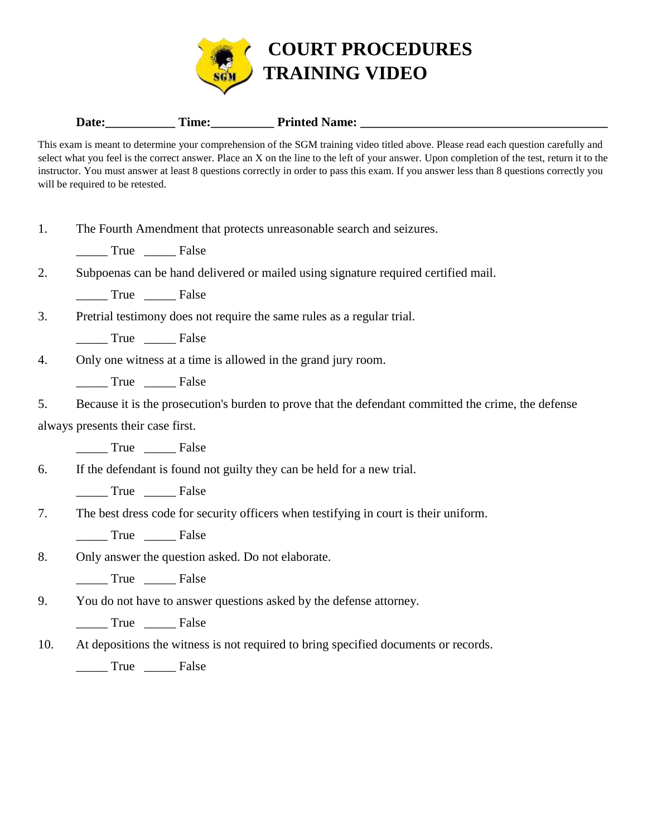

## Date: Time: Time: Printed Name:

This exam is meant to determine your comprehension of the SGM training video titled above. Please read each question carefully and select what you feel is the correct answer. Place an X on the line to the left of your answer. Upon completion of the test, return it to the instructor. You must answer at least 8 questions correctly in order to pass this exam. If you answer less than 8 questions correctly you will be required to be retested.

1. The Fourth Amendment that protects unreasonable search and seizures.

\_\_\_\_\_ True \_\_\_\_\_ False

| ∠. | Subpoenas can be hand delivered or mailed using signature required certified mail. |  |  |  |  |
|----|------------------------------------------------------------------------------------|--|--|--|--|
|    |                                                                                    |  |  |  |  |

\_\_\_\_\_ True \_\_\_\_\_ False

3. Pretrial testimony does not require the same rules as a regular trial.

\_\_\_\_\_ True \_\_\_\_\_ False

4. Only one witness at a time is allowed in the grand jury room.

\_\_\_\_\_ True \_\_\_\_\_ False

5. Because it is the prosecution's burden to prove that the defendant committed the crime, the defense always presents their case first.

\_\_\_\_\_ True \_\_\_\_\_ False

6. If the defendant is found not guilty they can be held for a new trial.

\_\_\_\_\_ True \_\_\_\_\_ False

7. The best dress code for security officers when testifying in court is their uniform.

True False

8. Only answer the question asked. Do not elaborate.

\_\_\_\_\_ True \_\_\_\_\_ False

9. You do not have to answer questions asked by the defense attorney.

\_\_\_\_\_ True \_\_\_\_\_ False

10. At depositions the witness is not required to bring specified documents or records.

\_\_\_\_\_ True \_\_\_\_\_ False